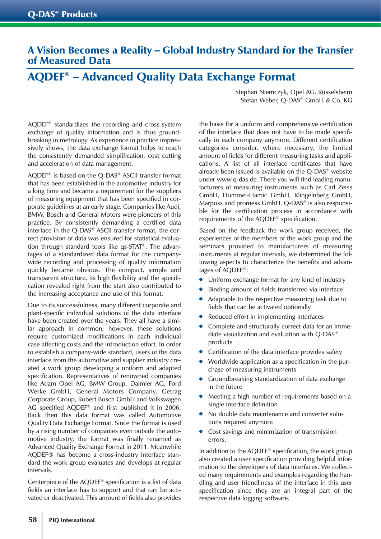## A Vision Becomes a Reality – Global Industry Standard for the Transfer of Measured Data

## AQDEF® – Advanced Quality Data Exchange Format

AQDEF® standardizes the recording and cross-system exchange of quality information and is thus groundbreaking in metrology. As experience in practice impressively shows, the data exchange format helps to reach the consistently demanded simplification, cost cutting and acceleration of data management.

AQDEF® is based on the Q-DAS® ASCII transfer format that has been established in the automotive industry for a long time and became a requirement for the suppliers of measuring equipment that has been specified in corporate guidelines at an early stage. Companies like Audi, BMW, Bosch and General Motors were pioneers of this practice. By consistently demanding a certified data interface in the Q-DAS® ASCII transfer format, the correct provision of data was ensured for statistical evaluation through standard tools like qs-STAT®. The advantages of a standardized data format for the companywide recording and processing of quality information quickly became obvious. The compact, simple and transparent structure, its high flexibility and the specification revealed right from the start also contributed to the increasing acceptance and use of this format.

Due to its successfulness, many different corporate and plant-specific individual solutions of the data interface have been created over the years. They all have a similar approach in common; however, these solutions require customized modifications in each individual case affecting costs and the introduction effort. In order to establish a company-wide standard, users of the data interface from the automotive and supplier industry created a work group developing a uniform and adapted specification. Representatives of renowned companies like Adam Opel AG, BMW Group, Daimler AG, Ford Werke GmbH, General Motors Company, Getrag Corporate Group, Robert Bosch GmbH and Volkswagen AG specified AQDEF® and first published it in 2006. Back then this data format was called Automotive Quality Data Exchange Format. Since the format is used by a rising number of companies even outside the automotive industry, the format was finally renamed as Advanced Quality Exchange Format in 2011. Meanwhile AQDEF® has become a cross-industry interface standard the work group evaluates and develops at regular intervals.

Centerpiece of the AQDEF® specification is a list of data fields an interface has to support and that can be activated or deactivated. This amount of fields also provides

Stephan Niemczyk, Opel AG, Rüsselsheim Stefan Weber, Q-DAS® GmbH & Co. KG

the basis for a uniform and comprehensive certification of the interface that does not have to be made specifically in each company anymore. Different certification categories consider, where necessary, the limited amount of fields for different measuring tasks and applications. A list of all interface certificates that have already been issued is available on the Q-DAS® website under www.q-das.de. There you will find leading manufacturers of measuring instruments such as Carl Zeiss GmbH, Hommel-Etamic GmbH, Klingelnberg GmbH, Marposs and promess GmbH. Q-DAS® is also responsible for the certification process in accordance with requirements of the AQDEF® specification.

Based on the feedback the work group received, the experiences of the members of the work group and the seminars provided to manufacturers of measuring instruments at regular intervals, we determined the following aspects to characterize the benefits and advantages of AQDEF®:

- Uniform exchange format for any kind of industry
- Binding amount of fields transferred via interface
- Adaptable to the respective measuring task due to fields that can be activated optionally
- Reduced effort in implementing interfaces
- Complete and structurally correct data for an immediate visualization and evaluation with Q-DAS® products
- Certification of the data interface provides safety
- Worldwide application as a specification in the purchase of measuring instruments
- Groundbreaking standardization of data exchange in the future
- Meeting a high number of requirements based on a single interface definition
- No double data maintenance and converter solutions required anymore
- Cost savings and minimization of transmission errors.

In addition to the AQDEF® specification, the work group also created a user specification providing helpful information to the developers of data interfaces. We collected many requirements and examples regarding the handling and user friendliness of the interface in this user specification since they are an integral part of the respective data logging software.